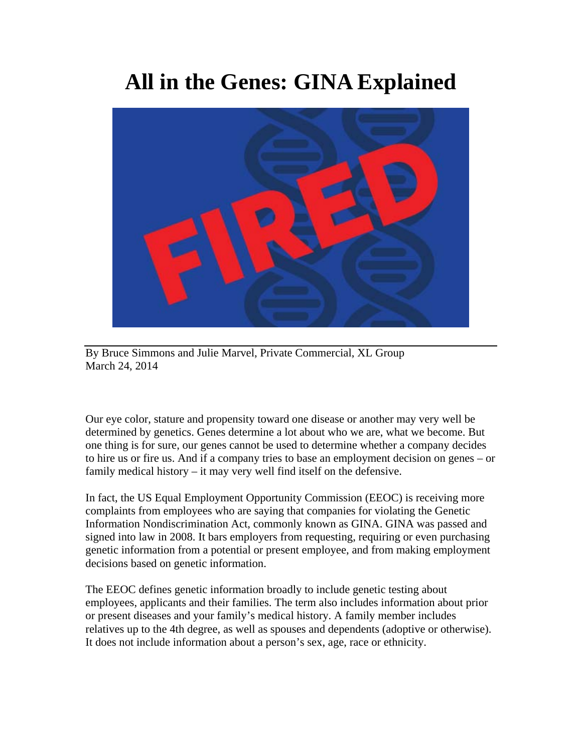## **All in the Genes: GINA Explained**





Our eye color, stature and propensity toward one disease or another may very well be determined by genetics. Genes determine a lot about who we are, what we become. But one thing is for sure, our genes cannot be used to determine whether a company decides to hire us or fire us. And if a company tries to base an employment decision on genes – or family medical history – it may very well find itself on the defensive.

In fact, the US Equal Employment Opportunity Commission (EEOC) is receiving more complaints from employees who are saying that companies for violating the Genetic Information Nondiscrimination Act, commonly known as GINA. GINA was passed and signed into law in 2008. It bars employers from requesting, requiring or even purchasing genetic information from a potential or present employee, and from making employment decisions based on genetic information.

The EEOC defines genetic information broadly to include genetic testing about employees, applicants and their families. The term also includes information about prior or present diseases and your family's medical history. A family member includes relatives up to the 4th degree, as well as spouses and dependents (adoptive or otherwise). It does not include information about a person's sex, age, race or ethnicity.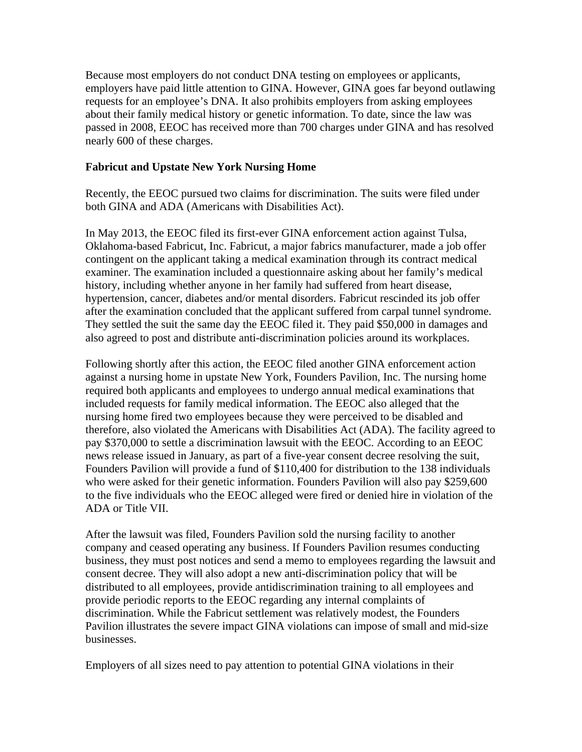Because most employers do not conduct DNA testing on employees or applicants, employers have paid little attention to GINA. However, GINA goes far beyond outlawing requests for an employee's DNA. It also prohibits employers from asking employees about their family medical history or genetic information. To date, since the law was passed in 2008, EEOC has received more than 700 charges under GINA and has resolved nearly 600 of these charges.

## **Fabricut and Upstate New York Nursing Home**

Recently, the EEOC pursued two claims for discrimination. The suits were filed under both GINA and ADA (Americans with Disabilities Act).

In May 2013, the EEOC filed its first-ever GINA enforcement action against Tulsa, Oklahoma-based Fabricut, Inc. Fabricut, a major fabrics manufacturer, made a job offer contingent on the applicant taking a medical examination through its contract medical examiner. The examination included a questionnaire asking about her family's medical history, including whether anyone in her family had suffered from heart disease, hypertension, cancer, diabetes and/or mental disorders. Fabricut rescinded its job offer after the examination concluded that the applicant suffered from carpal tunnel syndrome. They settled the suit the same day the EEOC filed it. They paid \$50,000 in damages and also agreed to post and distribute anti-discrimination policies around its workplaces.

Following shortly after this action, the EEOC filed another GINA enforcement action against a nursing home in upstate New York, Founders Pavilion, Inc. The nursing home required both applicants and employees to undergo annual medical examinations that included requests for family medical information. The EEOC also alleged that the nursing home fired two employees because they were perceived to be disabled and therefore, also violated the Americans with Disabilities Act (ADA). The facility agreed to pay \$370,000 to settle a discrimination lawsuit with the EEOC. According to an EEOC news release issued in January, as part of a five-year consent decree resolving the suit, Founders Pavilion will provide a fund of \$110,400 for distribution to the 138 individuals who were asked for their genetic information. Founders Pavilion will also pay \$259,600 to the five individuals who the EEOC alleged were fired or denied hire in violation of the ADA or Title VII.

After the lawsuit was filed, Founders Pavilion sold the nursing facility to another company and ceased operating any business. If Founders Pavilion resumes conducting business, they must post notices and send a memo to employees regarding the lawsuit and consent decree. They will also adopt a new anti-discrimination policy that will be distributed to all employees, provide antidiscrimination training to all employees and provide periodic reports to the EEOC regarding any internal complaints of discrimination. While the Fabricut settlement was relatively modest, the Founders Pavilion illustrates the severe impact GINA violations can impose of small and mid-size businesses.

Employers of all sizes need to pay attention to potential GINA violations in their